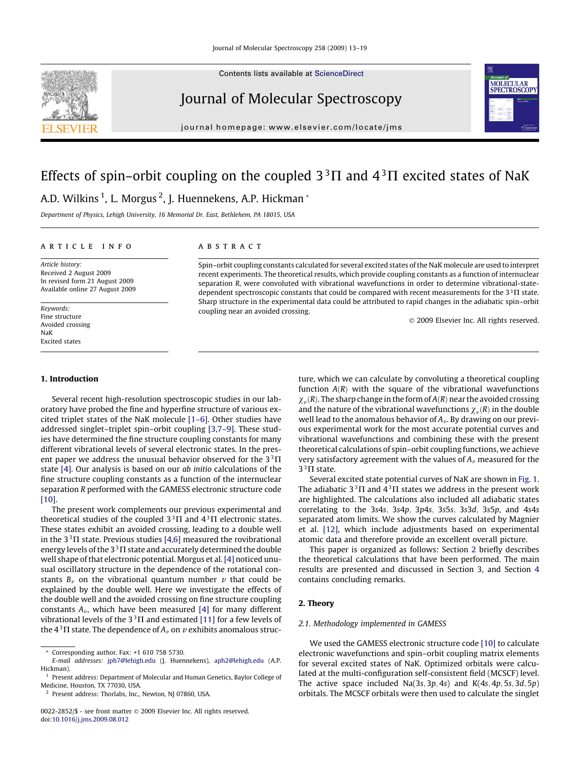Contents lists available at [ScienceDirect](http://www.sciencedirect.com/science/journal/00222852)



journal homepage: [www.elsevier.com/locate/jms](http://www.elsevier.com/locate/jms)

# Effects of spin–orbit coupling on the coupled  $3^{3}\Pi$  and  $4^{3}\Pi$  excited states of NaK A.D. Wilkins <sup>1</sup>, L. Morgus <sup>2</sup>, J. Huennekens, A.P. Hickman \*

Department of Physics, Lehigh University, 16 Memorial Dr. East, Bethlehem, PA 18015, USA

#### article info

Article history: Received 2 August 2009 In revised form 21 August 2009 Available online 27 August 2009

Keywords: Fine structure Avoided crossing NaK Excited states

## **ABSTRACT**

Spin–orbit coupling constants calculated for several excited states of the NaK molecule are used to interpret recent experiments. The theoretical results, which provide coupling constants as a function of internuclear separation R, were convoluted with vibrational wavefunctions in order to determine vibrational-statedependent spectroscopic constants that could be compared with recent measurements for the  $3<sup>3</sup>$  I state. Sharp structure in the experimental data could be attributed to rapid changes in the adiabatic spin–orbit coupling near an avoided crossing.

- 2009 Elsevier Inc. All rights reserved.

#### 1. Introduction

Several recent high-resolution spectroscopic studies in our laboratory have probed the fine and hyperfine structure of various excited triplet states of the NaK molecule [\[1–6\].](#page-5-0) Other studies have addressed singlet–triplet spin–orbit coupling [\[3,7–9\]](#page-5-0). These studies have determined the fine structure coupling constants for many different vibrational levels of several electronic states. In the present paper we address the unusual behavior observed for the  $3^{3}\Pi$ state [\[4\]](#page-5-0). Our analysis is based on our ab initio calculations of the fine structure coupling constants as a function of the internuclear separation R performed with the GAMESS electronic structure code [\[10\].](#page-6-0)

The present work complements our previous experimental and theoretical studies of the coupled  $3^{3}\Pi$  and  $4^{3}\Pi$  electronic states. These states exhibit an avoided crossing, leading to a double well in the  $3^{3}\Pi$  state. Previous studies [\[4,6\]](#page-5-0) measured the rovibrational energy levels of the  $3<sup>3</sup>$  IT state and accurately determined the double well shape of that electronic potential. Morgus et al.[\[4\]](#page-5-0) noticed unusual oscillatory structure in the dependence of the rotational constants  $B_{\nu}$  on the vibrational quantum number  $\nu$  that could be explained by the double well. Here we investigate the effects of the double well and the avoided crossing on fine structure coupling constants  $A_v$ , which have been measured [\[4\]](#page-5-0) for many different vibrational levels of the  $3<sup>3</sup>$  T and estimated [\[11\]](#page-6-0) for a few levels of the  $4^3\Pi$  state. The dependence of  $A_v$  on  $v$  exhibits anomalous struc-

<sup>2</sup> Present address: Thorlabs, Inc., Newton, NJ 07860, USA.

ture, which we can calculate by convoluting a theoretical coupling function  $A(R)$  with the square of the vibrational wavefunctions  $\chi_{v}(R)$ . The sharp change in the form of  $A(R)$  near the avoided crossing and the nature of the vibrational wavefunctions  $\chi_{v}(R)$  in the double well lead to the anomalous behavior of  $A_v$ . By drawing on our previous experimental work for the most accurate potential curves and vibrational wavefunctions and combining these with the present theoretical calculations of spin–orbit coupling functions, we achieve very satisfactory agreement with the values of  $A_v$  measured for the  $3<sup>3</sup>$  T state.

Several excited state potential curves of NaK are shown in [Fig. 1.](#page-1-0) The adiabatic  $3^3\Pi$  and  $4^3\Pi$  states we address in the present work are highlighted. The calculations also included all adiabatic states correlating to the 3s4s, 3s4p, 3p4s, 3s5s, 3s3d, 3s5p, and 4s4s separated atom limits. We show the curves calculated by Magnier et al. [\[12\],](#page-6-0) which include adjustments based on experimental atomic data and therefore provide an excellent overall picture.

This paper is organized as follows: Section 2 briefly describes the theoretical calculations that have been performed. The main results are presented and discussed in Section [3,](#page-3-0) and Section [4](#page-5-0) contains concluding remarks.

## 2. Theory

## 2.1. Methodology implemented in GAMESS

We used the GAMESS electronic structure code [\[10\]](#page-6-0) to calculate electronic wavefunctions and spin–orbit coupling matrix elements for several excited states of NaK. Optimized orbitals were calculated at the multi-configuration self-consistent field (MCSCF) level. The active space included  $Na(3s, 3p, 4s)$  and  $K(4s, 4p, 5s, 3d, 5p)$ orbitals. The MCSCF orbitals were then used to calculate the singlet





Corresponding author. Fax: +1 610 758 5730.

E-mail addresses: [jph7@lehigh.edu](mailto:jph7@lehigh.edu) (J. Huennekens), [aph2@lehigh.edu](mailto:aph2@lehigh.edu) (A.P. Hickman).

<sup>&</sup>lt;sup>1</sup> Present address: Department of Molecular and Human Genetics, Baylor College of Medicine, Houston, TX 77030, USA.

<sup>0022-2852/\$ -</sup> see front matter © 2009 Elsevier Inc. All rights reserved. doi[:10.1016/j.jms.2009.08.012](http://dx.doi.org/10.1016/j.jms.2009.08.012)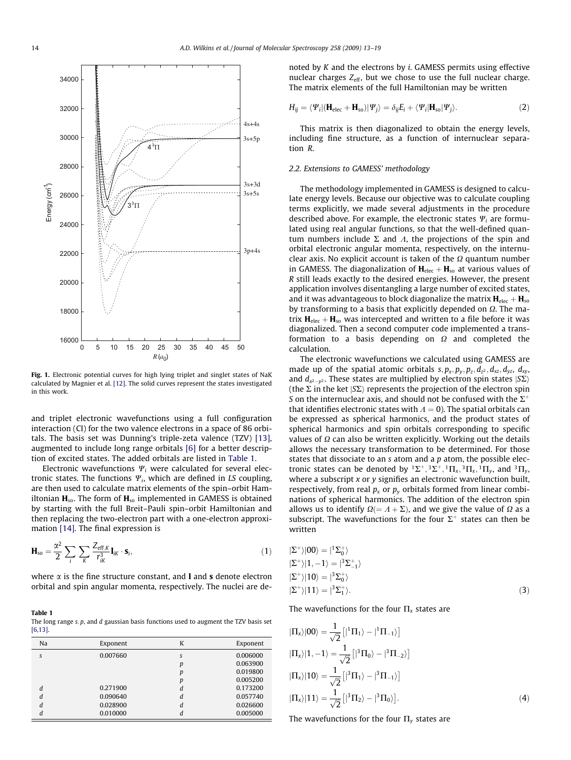<span id="page-1-0"></span>

Fig. 1. Electronic potential curves for high lying triplet and singlet states of NaK calculated by Magnier et al. [\[12\].](#page-6-0) The solid curves represent the states investigated in this work.

and triplet electronic wavefunctions using a full configuration interaction (CI) for the two valence electrons in a space of 86 orbitals. The basis set was Dunning's triple-zeta valence (TZV) [\[13\],](#page-6-0) augmented to include long range orbitals [\[6\]](#page-5-0) for a better description of excited states. The added orbitals are listed in Table 1.

Electronic wavefunctions  $\Psi_i$  were calculated for several electronic states. The functions  $\Psi_i$ , which are defined in LS coupling, are then used to calculate matrix elements of the spin–orbit Hamiltonian  $H_{so}$ . The form of  $H_{so}$  implemented in GAMESS is obtained by starting with the full Breit–Pauli spin–orbit Hamiltonian and then replacing the two-electron part with a one-electron approximation [\[14\].](#page-6-0) The final expression is

$$
\mathbf{H}_{\text{so}} = \frac{\alpha^2}{2} \sum_{i} \sum_{K} \frac{Z_{\text{eff},K}}{r_{iK}^3} \mathbf{I}_{iK} \cdot \mathbf{s}_{i},\tag{1}
$$

where  $\alpha$  is the fine structure constant, and **l** and **s** denote electron orbital and spin angular momenta, respectively. The nuclei are de-

Table 1 The long range  $s$ ,  $p$ , and  $d$  gaussian basis functions used to augment the TZV basis set [\[6,13\]](#page-5-0).

| Na | Exponent | K | Exponent |
|----|----------|---|----------|
| S  | 0.007660 | S | 0.006000 |
|    |          | p | 0.063900 |
|    |          | р | 0.019800 |
|    |          | р | 0.005200 |
| d  | 0.271900 | d | 0.173200 |
| d  | 0.090640 | d | 0.057740 |
| d  | 0.028900 | d | 0.026600 |
| d  | 0.010000 | d | 0.005000 |

noted by  $K$  and the electrons by  $i$ . GAMESS permits using effective nuclear charges  $Z_{\text{eff}}$ , but we chose to use the full nuclear charge. The matrix elements of the full Hamiltonian may be written

$$
H_{ij} = \langle \Psi_i | (\mathbf{H}_{elec} + \mathbf{H}_{so}) | \Psi_j \rangle = \delta_{ij} E_i + \langle \Psi_i | \mathbf{H}_{so} | \Psi_j \rangle.
$$
 (2)

This matrix is then diagonalized to obtain the energy levels, including fine structure, as a function of internuclear separation R.

### 2.2. Extensions to GAMESS' methodology

The methodology implemented in GAMESS is designed to calculate energy levels. Because our objective was to calculate coupling terms explicitly, we made several adjustments in the procedure described above. For example, the electronic states  $\Psi_i$  are formulated using real angular functions, so that the well-defined quantum numbers include  $\Sigma$  and  $\Lambda$ , the projections of the spin and orbital electronic angular momenta, respectively, on the internuclear axis. No explicit account is taken of the  $\Omega$  quantum number in GAMESS. The diagonalization of  $H_{elec} + H_{so}$  at various values of R still leads exactly to the desired energies. However, the present application involves disentangling a large number of excited states, and it was advantageous to block diagonalize the matrix  $H_{\text{elec}} + H_{\text{so}}$ by transforming to a basis that explicitly depended on  $\Omega$ . The matrix  $H_{\text{elec}} + H_{\text{so}}$  was intercepted and written to a file before it was diagonalized. Then a second computer code implemented a transformation to a basis depending on  $\Omega$  and completed the calculation.

The electronic wavefunctions we calculated using GAMESS are made up of the spatial atomic orbitals  $s, p_x, p_y, p_z, d_{z2}, d_{xz}, d_{yz}, d_{xy}$ , and  $d_{x^2-y^2}$ . These states are multiplied by electron spin states  $|S\Sigma\rangle$ (the  $\Sigma$  in the ket  $|S\Sigma\rangle$  represents the projection of the electron spin S on the internuclear axis, and should not be confused with the  $\Sigma^+$ that identifies electronic states with  $A = 0$ ). The spatial orbitals can be expressed as spherical harmonics, and the product states of spherical harmonics and spin orbitals corresponding to specific values of  $\Omega$  can also be written explicitly. Working out the details allows the necessary transformation to be determined. For those states that dissociate to an  $s$  atom and a  $p$  atom, the possible electronic states can be denoted by  ${}^{1}\Sigma^{+}$ ,  ${}^{3}\Sigma^{+}$ ,  ${}^{1}\Pi_{x}$ ,  ${}^{3}\Pi_{x}$ ,  ${}^{1}\Pi_{y}$ , and  ${}^{3}\Pi_{y}$ , where a subscript  $x$  or  $y$  signifies an electronic wavefunction built, respectively, from real  $p_x$  or  $p_y$  orbitals formed from linear combinations of spherical harmonics. The addition of the electron spin allows us to identify  $\Omega = A + \Sigma$ ), and we give the value of  $\Omega$  as a subscript. The wavefunctions for the four  $\Sigma^+$  states can then be written

$$
|\Sigma^{+}\rangle|00\rangle = |^{1}\Sigma_{0}^{+}\rangle
$$
  
\n
$$
|\Sigma^{+}\rangle|1, -1\rangle = |^{3}\Sigma_{-1}^{+}\rangle
$$
  
\n
$$
|\Sigma^{+}\rangle|10\rangle = |^{3}\Sigma_{0}^{+}\rangle
$$
  
\n
$$
|\Sigma^{+}\rangle|11\rangle = |^{3}\Sigma_{1}^{+}\rangle.
$$
 (3)

The wavefunctions for the four  $\Pi_x$  states are

$$
|\Pi_x\rangle|00\rangle = \frac{1}{\sqrt{2}} [ |{}^1\Pi_1\rangle - |{}^1\Pi_{-1}\rangle ]
$$
  
\n
$$
|\Pi_x\rangle|1, -1\rangle = \frac{1}{\sqrt{2}} [|{}^3\Pi_0\rangle - |{}^3\Pi_{-2}\rangle ]
$$
  
\n
$$
|\Pi_x\rangle|10\rangle = \frac{1}{\sqrt{2}} [|{}^3\Pi_1\rangle - |{}^3\Pi_{-1}\rangle ]
$$
  
\n
$$
|\Pi_x\rangle|11\rangle = \frac{1}{\sqrt{2}} [|{}^3\Pi_2\rangle - |{}^3\Pi_0\rangle].
$$
 (4)

The wavefunctions for the four  $\Pi_{\nu}$  states are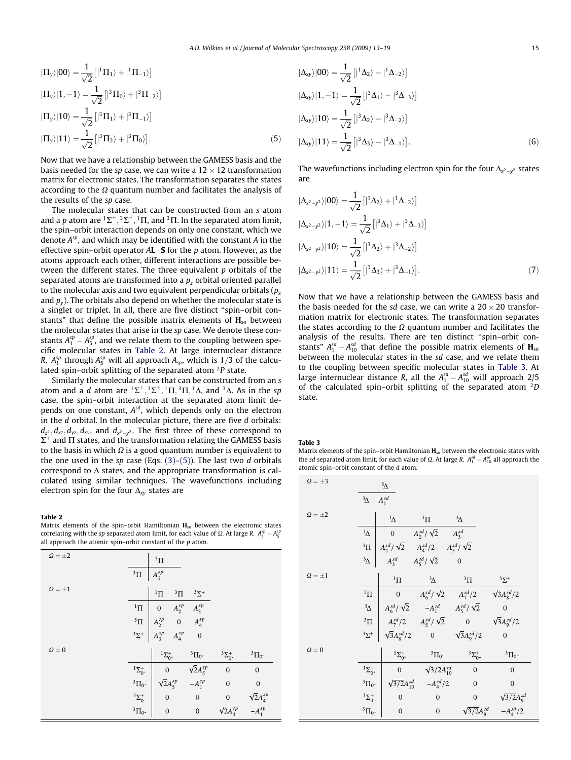<span id="page-2-0"></span>
$$
|\Pi_y\rangle|00\rangle = \frac{1}{\sqrt{2}}\left[|{}^1\Pi_1\rangle + |{}^1\Pi_{-1}\rangle\right]
$$
  
\n
$$
|\Pi_y\rangle|1, -1\rangle = \frac{1}{\sqrt{2}}\left[|{}^3\Pi_0\rangle + |{}^3\Pi_{-2}\rangle\right]
$$
  
\n
$$
|\Pi_y\rangle|10\rangle = \frac{1}{\sqrt{2}}\left[|{}^3\Pi_1\rangle + |{}^3\Pi_{-1}\rangle\right]
$$
  
\n
$$
|\Pi_y\rangle|11\rangle = \frac{1}{\sqrt{2}}\left[|{}^3\Pi_2\rangle + |{}^3\Pi_0\rangle\right].
$$
 (5)

Now that we have a relationship between the GAMESS basis and the basis needed for the sp case, we can write a  $12 \times 12$  transformation matrix for electronic states. The transformation separates the states according to the  $\Omega$  quantum number and facilitates the analysis of the results of the sp case.

The molecular states that can be constructed from an s atom and a p atom are  ${}^{1}\Sigma^{+}$ ,  ${}^{3}\Sigma^{+}$ ,  ${}^{1}\Pi$ , and  ${}^{3}\Pi$ . In the separated atom limit, the spin–orbit interaction depends on only one constant, which we denote  $A^{sp}$ , and which may be identified with the constant A in the effective spin–orbit operator A**L**  $\cdot$  **S** for the  $p$  atom. However, as the atoms approach each other, different interactions are possible between the different states. The three equivalent  $p$  orbitals of the separated atoms are transformed into a  $p<sub>z</sub>$  orbital oriented parallel to the molecular axis and two equivalent perpendicular orbitals ( $p_x$ ) and  $p_v$ ). The orbitals also depend on whether the molecular state is a singlet or triplet. In all, there are five distinct ''spin–orbit constants" that define the possible matrix elements of  $H_{so}$  between the molecular states that arise in the sp case. We denote these constants  $A_1^{sp} - A_5^{sp}$ , and we relate them to the coupling between specific molecular states in Table 2. At large internuclear distance R,  $A_1^{sp}$  through  $A_5^{sp}$  will all approach  $A_{sp}$ , which is 1/3 of the calculated spin–orbit splitting of the separated atom  ${}^{2}P$  state.

Similarly the molecular states that can be constructed from an s atom and a d atom are  ${}^{1}\Sigma^{+}$ ,  ${}^{3}\Sigma^{+}$ ,  ${}^{1}\Pi$ ,  ${}^{3}\Pi$ ,  ${}^{1}\Delta$ , and  ${}^{3}\Delta$ . As in the sp case, the spin–orbit interaction at the separated atom limit depends on one constant,  $A^{sd}$ , which depends only on the electron in the d orbital. In the molecular picture, there are five d orbitals:  $d_{z^2}$ ,  $d_{xz}$ ,  $d_{yz}$ ,  $d_{xy}$ , and  $d_{x^2-y^2}$ . The first three of these correspond to  $\Sigma^+$  and  $\Pi$  states, and the transformation relating the GAMESS basis to the basis in which  $\Omega$  is a good quantum number is equivalent to the one used in the sp case (Eqs.  $(3)-(5)$ ). The last two d orbitals correspond to  $\Delta$  states, and the appropriate transformation is calculated using similar techniques. The wavefunctions including electron spin for the four  $\Delta_{xy}$  states are

#### Table 2

Matrix elements of the spin–orbit Hamiltonian  $H_{so}$  between the electronic states correlating with the sp separated atom limit, for each value of  $\Omega$ . At large R,  $A_1^{sp} - A_5^{sp}$ all approach the atomic spin–orbit constant of the  $p$  atom.

| $\Omega = \pm 2$ |                    | $\rm{^{3}\Pi}$                         |                                                                                          |                      |                                        |
|------------------|--------------------|----------------------------------------|------------------------------------------------------------------------------------------|----------------------|----------------------------------------|
|                  | $^3\Pi$            | $A_1^{sp}$                             |                                                                                          |                      |                                        |
| $\Omega = \pm 1$ |                    | $1\text{H}$                            | $^3\Pi$<br>$3\Sigma^+$                                                                   |                      |                                        |
|                  | $^1\Pi$            | $\begin{pmatrix} 0 \\ 0 \end{pmatrix}$ | $A_2^{sp}$<br>$A_3^{sp}$                                                                 |                      |                                        |
|                  | $\rm ^3\Pi$        |                                        | $\begin{array}{ ccc } A_2^{sp} & 0 & A_4^{sp} \\ A_3^{sp} & A_4^{sp} & 0 \\ \end{array}$ |                      |                                        |
|                  | $3\Sigma^+$        |                                        |                                                                                          |                      |                                        |
| $\Omega = 0$     |                    | ${}^{1}\Sigma_{0^{+}}^{+}$             | $^3\Pi_{0^+}$                                                                            | $^3\Sigma^+_{0^-}$   | $^3\Pi_{0^-}$                          |
|                  | $^1\Sigma^+_{0^+}$ | $\boldsymbol{0}$                       | $\sqrt{2}A_5^{sp}$                                                                       | $\overline{0}$       | $\overline{0}$                         |
|                  | $^3\Pi_{0^+}$      | $\sqrt{2}A_5^{sp}$                     | $-A_1^{sp}$                                                                              | $\overline{0}$       | $\boldsymbol{0}$                       |
|                  | $^3\Sigma^+_{0^-}$ | $\boldsymbol{0}$                       | $\boldsymbol{0}$                                                                         | $\boldsymbol{0}$     | $\sqrt{2}A_4^{sp}$<br>-A <sup>sp</sup> |
|                  | $^3\Pi_{0^-}$      | $\mathbf{0}$                           | $\boldsymbol{0}$                                                                         | $\sqrt{2}A^{sp}_{4}$ |                                        |

$$
|\Delta_{xy}\rangle|00\rangle = \frac{1}{\sqrt{2}}\left[|{}^{1}\Delta_{2}\rangle - |{}^{1}\Delta_{-2}\rangle\right]
$$
  
\n
$$
|\Delta_{xy}\rangle|1, -1\rangle = \frac{1}{\sqrt{2}}\left[|{}^{3}\Delta_{1}\rangle - |{}^{3}\Delta_{-3}\rangle\right]
$$
  
\n
$$
|\Delta_{xy}\rangle|10\rangle = \frac{1}{\sqrt{2}}\left[|{}^{3}\Delta_{2}\rangle - |{}^{3}\Delta_{-2}\rangle\right]
$$
  
\n
$$
|\Delta_{xy}\rangle|11\rangle = \frac{1}{\sqrt{2}}\left[|{}^{3}\Delta_{3}\rangle - |{}^{3}\Delta_{-1}\rangle\right].
$$
 (6)

The wavefunctions including electron spin for the four  $\Delta_{x^2-y^2}$  states are

$$
|\Delta_{x^2-y^2}\rangle|00\rangle = \frac{1}{\sqrt{2}}\left[|{}^1\Delta_2\rangle + |{}^1\Delta_{-2}\rangle\right]
$$
  
\n
$$
|\Delta_{x^2-y^2}\rangle|1, -1\rangle = \frac{1}{\sqrt{2}}\left[|{}^3\Delta_1\rangle + |{}^3\Delta_{-3}\rangle\right]
$$
  
\n
$$
|\Delta_{x^2-y^2}\rangle|10\rangle = \frac{1}{\sqrt{2}}\left[|{}^3\Delta_2\rangle + |{}^3\Delta_{-2}\rangle\right]
$$
  
\n
$$
|\Delta_{x^2-y^2}\rangle|11\rangle = \frac{1}{\sqrt{2}}\left[|{}^3\Delta_3\rangle + |{}^3\Delta_{-1}\rangle\right].
$$
 (7)

Now that we have a relationship between the GAMESS basis and the basis needed for the sd case, we can write a  $20 \times 20$  transformation matrix for electronic states. The transformation separates the states according to the  $\Omega$  quantum number and facilitates the analysis of the results. There are ten distinct ''spin–orbit constants"  $A_1^{sd} - A_{10}^{sd}$  that define the possible matrix elements of  $\mathbf{H}_{\text{sc}}$ between the molecular states in the sd case, and we relate them to the coupling between specific molecular states in Table 3. At large internuclear distance R, all the  $A_1^{sd} - A_{10}^{sd}$  will approach 2/5 of the calculated spin–orbit splitting of the separated atom  $2D$ state.

Table 3

Matrix elements of the spin–orbit Hamiltonian  $H_{\text{so}}$  between the electronic states with the sd separated atom limit, for each value of  $\Omega$ . At large R,  $A_1^{sd} - A_{10}^{sd}$  all approach the atomic spin–orbit constant of the d atom.

| $\Omega = \pm 3$ |                          | $\frac{3}{\Delta}$       |                                                       |                            |                      |
|------------------|--------------------------|--------------------------|-------------------------------------------------------|----------------------------|----------------------|
|                  | $\frac{3}{\Delta}$       | $A_1^{sd}$               |                                                       |                            |                      |
| $\Omega = \pm 2$ |                          | $\Delta$                 | $\rm{^{3} \Pi}$                                       | $\frac{3}{\Delta}$         |                      |
|                  | $\frac{1}{\Delta}$       | $\boldsymbol{0}$         | $A_2^{sd}/\sqrt{2}$ $A_3^{sd}$                        |                            |                      |
|                  | $^3\Pi$                  |                          | $A_2^{sd}/\sqrt{2}$ $A_4^{sd}/2$ $A_5^{sd}/\sqrt{2}$  |                            |                      |
|                  | $^3\!\Delta$             |                          | $A_3^{sd}$ $A_5^{sd}/\sqrt{2}$ 0                      |                            |                      |
| $\Omega = \pm 1$ |                          | $^1\Pi$                  | $\frac{3}{\Delta}$                                    | $^3\Pi$                    | $3\Sigma^+$          |
|                  | $\rm ^1\Pi$              | $\boldsymbol{0}$         | $A_6^{sd}/\sqrt{2}$ $A_7^{sd}/2$ $\sqrt{3}A_8^{sd}/2$ |                            |                      |
|                  | $\frac{3}{\Delta}$       |                          | $A_6^{sd}/\sqrt{2}$ $-A_1^{sd}$ $A_5^{sd}/\sqrt{2}$   |                            | $\overline{0}$       |
|                  | $\rm{^{3}\Pi}$           |                          | $A_7^{sd}/2 \t A_5^{sd}/\sqrt{2}$ 0                   |                            | $\sqrt{3}A_9^{sd}/2$ |
|                  | $3\Sigma^+$              | $\sqrt{3}A_8^{sd}/2$ 0   |                                                       | $\sqrt{3}A_9^{sd}/2$       | $\overline{0}$       |
| $\Omega = 0$     |                          | $^{1}\Sigma^{+}_{0^{+}}$ | $^{3}\Pi_{0^{+}}$                                     | $3\Sigma_{0^{-}}^{+}$      | $^3\Pi_0$ -          |
|                  | $^{1}\Sigma_{0^{+}}^{+}$ | $\mathbf{0}$             | $\sqrt{3/2}A_{10}^{sd}$                               | $\overline{0}$             | $\theta$             |
|                  | $^3\Pi_{0^+}$            | $\sqrt{3/2}A_{10}^{sd}$  | $-A_4^{sd}/2$                                         | $\overline{0}$             | $\overline{0}$       |
|                  | $^{3}\Sigma_{0^{-}}^{+}$ | $\overline{0}$           | $\mathbf{0}$                                          | $\boldsymbol{0}$           | $\sqrt{3/2}A_9^{sd}$ |
|                  | $^3\Pi_{0^-}$            | $\overline{0}$           | $\boldsymbol{0}$                                      | $\sqrt{3/2}A_{\rm q}^{sd}$ | $-A_4^{sd}/2$        |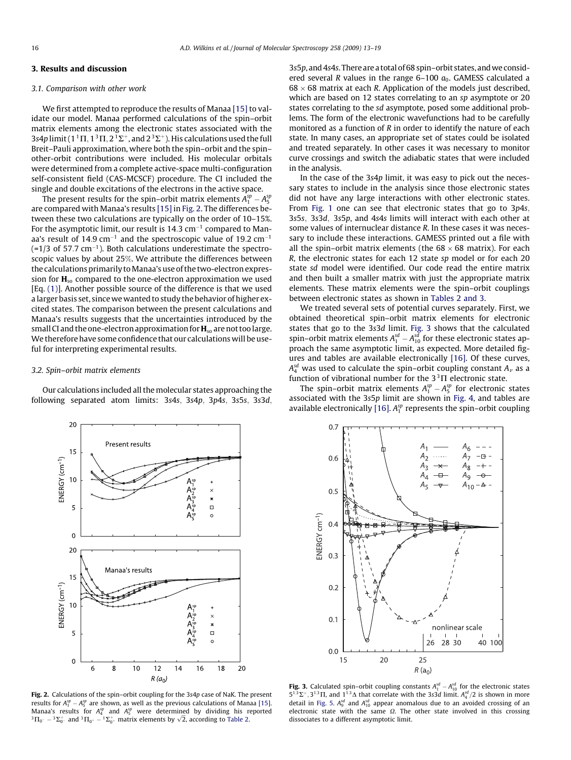## <span id="page-3-0"></span>3. Results and discussion

#### 3.1. Comparison with other work

We first attempted to reproduce the results of Manaa [\[15\]](#page-6-0) to validate our model. Manaa performed calculations of the spin–orbit matrix elements among the electronic states associated with the 3s4p limit ( $1^1\Pi$ ,  $1^3\Pi$ ,  $2^1\Sigma^+$ , and  $2^3\Sigma^+$ ). His calculations used the full Breit–Pauli approximation, where both the spin–orbit and the spin– other-orbit contributions were included. His molecular orbitals were determined from a complete active-space multi-configuration self-consistent field (CAS-MCSCF) procedure. The CI included the single and double excitations of the electrons in the active space.

The present results for the spin–orbit matrix elements  $A_1^{sp} - A_5^{sp}$ are compared with Manaa's results [\[15\]](#page-6-0) in Fig. 2. The differences between these two calculations are typically on the order of 10–15%. For the asymptotic limit, our result is  $14.3 \text{ cm}^{-1}$  compared to Manaa's result of 14.9 cm<sup>-1</sup> and the spectroscopic value of 19.2 cm<sup>-1</sup>  $(=1/3$  of 57.7 cm<sup>-1</sup>). Both calculations underestimate the spectroscopic values by about 25%. We attribute the differences between the calculations primarily toManaa's use of the two-electron expression for  $H_{so}$  compared to the one-electron approximation we used  $[Eq. (1)]$  $[Eq. (1)]$  $[Eq. (1)]$ . Another possible source of the difference is that we used a larger basis set, since we wanted to study the behavior of higher excited states. The comparison between the present calculations and Manaa's results suggests that the uncertainties introduced by the small CI and the one-electron approximation for  $\mathbf{H}_{\text{so}}$  are not too large. We therefore have some confidence that our calculationswill be useful for interpreting experimental results.

### 3.2. Spin–orbit matrix elements

Our calculations included all the molecular states approaching the following separated atom limits: 3s4s, 3s4p, 3p4s, 3s5s, 3s3d, 3s5p, and 4s4s. There are a total of 68 spin–orbit states, andwe considered several R values in the range  $6-100 a_0$ . GAMESS calculated a  $68 \times 68$  matrix at each R. Application of the models just described. which are based on 12 states correlating to an sp asymptote or 20 states correlating to the sd asymptote, posed some additional problems. The form of the electronic wavefunctions had to be carefully monitored as a function of R in order to identify the nature of each state. In many cases, an appropriate set of states could be isolated and treated separately. In other cases it was necessary to monitor curve crossings and switch the adiabatic states that were included in the analysis.

In the case of the 3s4p limit, it was easy to pick out the necessary states to include in the analysis since those electronic states did not have any large interactions with other electronic states. From [Fig. 1](#page-1-0) one can see that electronic states that go to 3p4s; 3s5s; 3s3d; 3s5p, and 4s4s limits will interact with each other at some values of internuclear distance R. In these cases it was necessary to include these interactions. GAMESS printed out a file with all the spin–orbit matrix elements (the  $68 \times 68$  matrix). For each R, the electronic states for each 12 state sp model or for each 20 state sd model were identified. Our code read the entire matrix and then built a smaller matrix with just the appropriate matrix elements. These matrix elements were the spin–orbit couplings between electronic states as shown in [Tables 2 and 3](#page-2-0).

We treated several sets of potential curves separately. First, we obtained theoretical spin–orbit matrix elements for electronic states that go to the 3s3d limit. Fig. 3 shows that the calculated spin–orbit matrix elements  $A_1^{sd}$  –  $A_{10}^{sd}$  for these electronic states approach the same asymptotic limit, as expected. More detailed figures and tables are available electronically [\[16\].](#page-6-0) Of these curves,  $A_4^{sd}$  was used to calculate the spin–orbit coupling constant  $A_\nu$  as a function of vibrational number for the  $3^{3}\Pi$  electronic state.

The spin–orbit matrix elements  $A_1^{sp} - A_5^{sp}$  for electronic states associated with the 3s5p limit are shown in [Fig. 4,](#page-4-0) and tables are available electronically [\[16\]](#page-6-0).  $A_1^{sp}$  represents the spin-orbit coupling



Fig. 2. Calculations of the spin–orbit coupling for the 3s4p case of NaK. The present results for  $A_1^{\text{sp}}-A_5^{\text{sp}}$  are shown, as well as the previous calculations of Manaa [\[15\]](#page-6-0). Manaa's results for  $A_4^{sp}$  and  $A_5^{sp}$  were determined by dividing his reported  ${}^{3}\Pi_{0}$  –  ${}^{3}\Sigma_{0}$  and  ${}^{3}\Pi_{0}$  –  ${}^{1}\Sigma_{0}$  matrix elements by  $\sqrt{2}$ , according to [Table 2](#page-2-0).



**Fig. 3.** Calculated spin–orbit coupling constants  $A_1^{sd} - A_{10}^{sd}$  for the electronic states  $5^{1,3}\Sigma^{+}$ ,  $3^{1,3}\Pi$ , and  $1^{1,3}\Delta$  that correlate with the 3s3d limit.  $A_4^{sd}/2$  is shown in more detail in [Fig. 5.](#page-4-0)  $A_9^{sd}$  and  $A_{10}^{sd}$  appear anomalous due to an avoided crossing of an electronic state with the same  $\Omega$ . The other state involved in this crossing dissociates to a different asymptotic limit.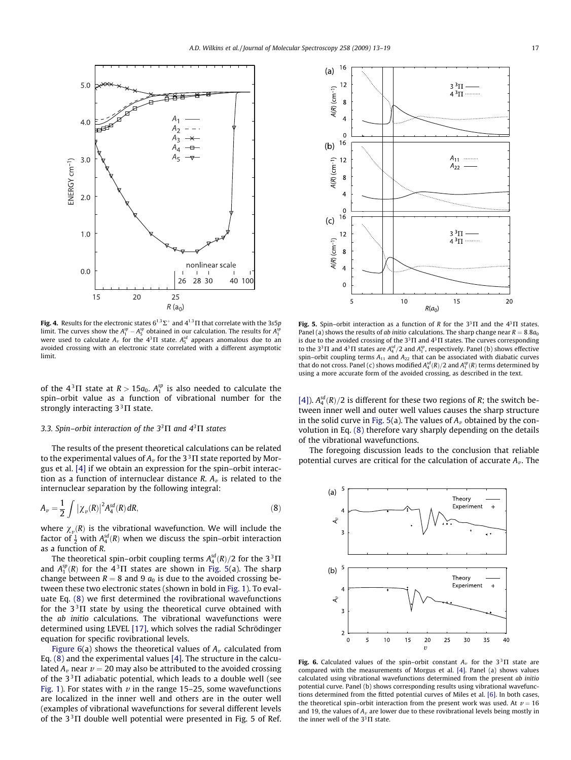<span id="page-4-0"></span>

**Fig. 4.** Results for the electronic states  $6^{1,3}\Sigma^{+}$  and  $4^{1,3}\Pi$  that correlate with the 3s5p limit. The curves show the  $A_1^{\text{sp}} - A_5^{\text{sp}}$  obtained in our calculation. The results for  $A_1^{\text{sp}}$ were used to calculate  $A_{\nu}$  for the  $4^{3}\Pi$  state.  $A_{5}^{sd}$  appears anomalous due to an avoided crossing with an electronic state correlated with a different asymptotic limit.

of the  $4^3\Pi$  state at  $R > 15a_0$ .  $A_1^{sp}$  is also needed to calculate the spin–orbit value as a function of vibrational number for the strongly interacting  $3^{3}\Pi$  state.

#### 3.3. Spin–orbit interaction of the  $3^3\Pi$  and  $4^3\Pi$  states

The results of the present theoretical calculations can be related to the experimental values of  $A_v$  for the 3<sup>3</sup>  $\Pi$  state reported by Morgus et al. [\[4\]](#page-5-0) if we obtain an expression for the spin–orbit interaction as a function of internuclear distance R.  $A<sub>v</sub>$  is related to the internuclear separation by the following integral:

$$
A_{\nu} = \frac{1}{2} \int |\chi_{\nu}(R)|^2 A_4^{sd}(R) \, dR,\tag{8}
$$

where  $\chi_{\nu}(R)$  is the vibrational wavefunction. We will include the factor of  $\frac{1}{2}$  with  $A_4^{sd}(R)$  when we discuss the spin–orbit interaction as a function of R.

The theoretical spin–orbit coupling terms  $A_4^{sd}(R)/2$  for the 3<sup>3</sup> $\Pi$ and  $A_1^{sp}(R)$  for the  $4^3\Pi$  states are shown in Fig. 5(a). The sharp change between  $R = 8$  and 9  $a_0$  is due to the avoided crossing between these two electronic states (shown in bold in [Fig. 1\)](#page-1-0). To evaluate Eq. (8) we first determined the rovibrational wavefunctions for the  $3^{3}\Pi$  state by using the theoretical curve obtained with the *ab initio* calculations. The vibrational wavefunctions were determined using LEVEL [\[17\]](#page-6-0), which solves the radial Schrödinger equation for specific rovibrational levels.

Figure 6(a) shows the theoretical values of  $A<sub>v</sub>$  calculated from Eq. (8) and the experimental values [\[4\].](#page-5-0) The structure in the calculated  $A_{\nu}$  near  $\nu = 20$  may also be attributed to the avoided crossing of the  $3^{3}\Pi$  adiabatic potential, which leads to a double well (see [Fig. 1\)](#page-1-0). For states with  $\nu$  in the range 15–25, some wavefunctions are localized in the inner well and others are in the outer well (examples of vibrational wavefunctions for several different levels of the  $3^{3}\Pi$  double well potential were presented in Fig. 5 of Ref.



Fig. 5. Spin–orbit interaction as a function of R for the  $3^3\Pi$  and the  $4^3\Pi$  states. Panel (a) shows the results of ab initio calculations. The sharp change near  $R = 8.8a<sub>0</sub>$ is due to the avoided crossing of the  $3^3\Pi$  and  $4^3\Pi$  states. The curves corresponding to the 3<sup>3</sup>  $\Pi$  and 4<sup>3</sup>  $\Pi$  states are  $A_4^{sd}/2$  and  $A_1^{sp}$ , respectively. Panel (b) shows effective spin–orbit coupling terms  $A_{11}$  and  $A_{22}$  that can be associated with diabatic curves that do not cross. Panel (c) shows modified  $A_4^{sd}(R)/2$  and  $A_1^{sp}(R)$  terms determined by using a more accurate form of the avoided crossing, as described in the text.

[\[4\]](#page-5-0)).  $A_4^{sd}(R)/2$  is different for these two regions of R; the switch between inner well and outer well values causes the sharp structure in the solid curve in Fig. 5(a). The values of  $A<sub>v</sub>$  obtained by the convolution in Eq. (8) therefore vary sharply depending on the details of the vibrational wavefunctions.

The foregoing discussion leads to the conclusion that reliable potential curves are critical for the calculation of accurate  $A<sub>v</sub>$ . The



Fig. 6. Calculated values of the spin–orbit constant  $A_v$  for the 3<sup>3</sup> $\Pi$  state are compared with the measurements of Morgus et al. [\[4\]](#page-5-0). Panel (a) shows values calculated using vibrational wavefunctions determined from the present ab initio potential curve. Panel (b) shows corresponding results using vibrational wavefunctions determined from the fitted potential curves of Miles et al. [\[6\]](#page-5-0). In both cases, the theoretical spin–orbit interaction from the present work was used. At  $v = 16$ and 19, the values of  $A_v$  are lower due to these rovibrational levels being mostly in the inner well of the  $3^3\Pi$  state.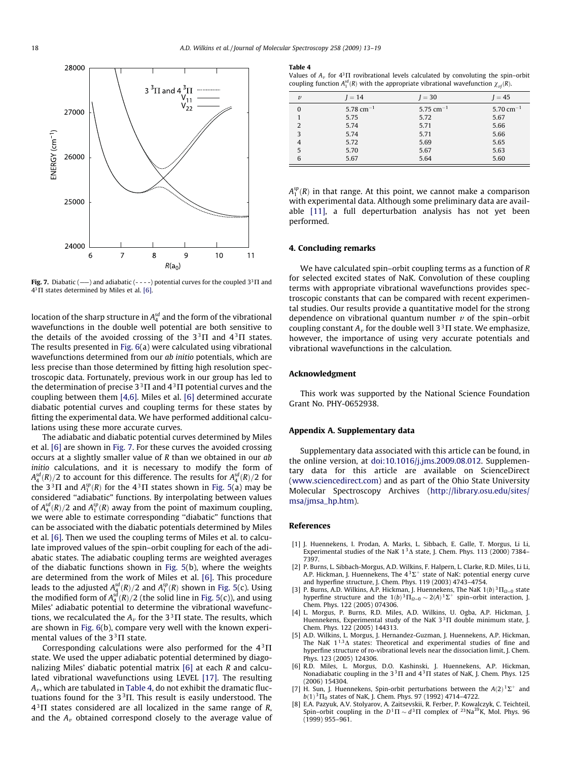<span id="page-5-0"></span>

Fig. 7. Diabatic (--) and adiabatic (----) potential curves for the coupled  $3^3\Pi$  and  $4<sup>3</sup>$  IT states determined by Miles et al. [6].

location of the sharp structure in  $A_4^{sd}$  and the form of the vibrational wavefunctions in the double well potential are both sensitive to the details of the avoided crossing of the  $3^{3}\Pi$  and  $4^{3}\Pi$  states. The results presented in [Fig. 6\(](#page-4-0)a) were calculated using vibrational wavefunctions determined from our ab initio potentials, which are less precise than those determined by fitting high resolution spectroscopic data. Fortunately, previous work in our group has led to the determination of precise  $3<sup>3</sup>$  T and  $4<sup>3</sup>$  T potential curves and the coupling between them [4,6]. Miles et al. [6] determined accurate diabatic potential curves and coupling terms for these states by fitting the experimental data. We have performed additional calculations using these more accurate curves.

The adiabatic and diabatic potential curves determined by Miles et al. [6] are shown in Fig. 7. For these curves the avoided crossing occurs at a slightly smaller value of R than we obtained in our ab initio calculations, and it is necessary to modify the form of  ${\cal A}^{sd}_4(R)/2$  to account for this difference. The results for  ${\cal A}^{sd}_4(R)/2$  for the 3<sup>3</sup> $\Pi$  and  $A_1^{sp}(R)$  for the 4<sup>3</sup> $\Pi$  states shown in [Fig. 5](#page-4-0)(a) may be considered ''adiabatic" functions. By interpolating between values of  $A_4^{sd}(R)/2$  and  $A_1^{sp}(R)$  away from the point of maximum coupling, we were able to estimate corresponding ''diabatic" functions that can be associated with the diabatic potentials determined by Miles et al. [6]. Then we used the coupling terms of Miles et al. to calculate improved values of the spin–orbit coupling for each of the adiabatic states. The adiabatic coupling terms are weighted averages of the diabatic functions shown in [Fig. 5](#page-4-0)(b), where the weights are determined from the work of Miles et al. [6]. This procedure leads to the adjusted  $A_4^{sd}(R)/2$  and  $A_1^{sp}(R)$  shown in [Fig. 5\(](#page-4-0)c). Using the modified form of  $A_4^{sd}(R)/2$  (the solid line in [Fig. 5\(](#page-4-0)c)), and using Miles' adiabatic potential to determine the vibrational wavefunctions, we recalculated the  $A_v$  for the 3<sup>3</sup> $\Pi$  state. The results, which are shown in [Fig. 6](#page-4-0)(b), compare very well with the known experimental values of the  $3^{3}\Pi$  state.

Corresponding calculations were also performed for the  $4^{3}\Pi$ state. We used the upper adiabatic potential determined by diagonalizing Miles' diabatic potential matrix [6] at each R and calculated vibrational wavefunctions using LEVEL [\[17\]](#page-6-0). The resulting  $A<sub>v</sub>$ , which are tabulated in Table 4, do not exhibit the dramatic fluctuations found for the  $3<sup>3</sup>$  T. This result is easily understood. The  $4^{3}$  $\Pi$  states considered are all localized in the same range of R, and the  $A_{\nu}$  obtained correspond closely to the average value of

#### Table 4

Values of  $A_{\nu}$  for  $4^{3}\Pi$  rovibrational levels calculated by convoluting the spin–orbit coupling function  $A_1^{sd}(R)$  with the appropriate vibrational wavefunction  $\chi_{vj}(R)$ .

| $\boldsymbol{v}$ | $I = 14$       | $I = 30$                           | $I = 45$                           |
|------------------|----------------|------------------------------------|------------------------------------|
| $\Omega$         | 5.78 $cm^{-1}$ | 5.75 cm <sup><math>-1</math></sup> | 5.70 cm <sup><math>-1</math></sup> |
|                  | 5.75           | 5.72                               | 5.67                               |
|                  | 5.74           | 5.71                               | 5.66                               |
| 3                | 5.74           | 5.71                               | 5.66                               |
|                  | 5.72           | 5.69                               | 5.65                               |
| 5                | 5.70           | 5.67                               | 5.63                               |
| 6                | 5.67           | 5.64                               | 5.60                               |

 $A_1^{sp}(R)$  in that range. At this point, we cannot make a comparison with experimental data. Although some preliminary data are available [\[11\]](#page-6-0), a full deperturbation analysis has not yet been performed.

## 4. Concluding remarks

We have calculated spin–orbit coupling terms as a function of R for selected excited states of NaK. Convolution of these coupling terms with appropriate vibrational wavefunctions provides spectroscopic constants that can be compared with recent experimental studies. Our results provide a quantitative model for the strong dependence on vibrational quantum number  $\nu$  of the spin–orbit coupling constant  $A_v$  for the double well 3<sup>3</sup> $\Pi$  state. We emphasize, however, the importance of using very accurate potentials and vibrational wavefunctions in the calculation.

#### Acknowledgment

This work was supported by the National Science Foundation Grant No. PHY-0652938.

#### Appendix A. Supplementary data

Supplementary data associated with this article can be found, in the online version, at [doi:10.1016/j.jms.2009.08.012.](http://dx.doi.org/10.1016/j.jms.2009.08.012) Supplementary data for this article are available on ScienceDirect ([www.sciencedirect.com\)](http://www.sciencedirect.com) and as part of the Ohio State University Molecular Spectroscopy Archives [\(http://library.osu.edu/sites/](http://library.osu.edu/sites/msa/jmsa_hp.htm) [msa/jmsa\\_hp.htm](http://library.osu.edu/sites/msa/jmsa_hp.htm)).

#### References

- [1] J. Huennekens, I. Prodan, A. Marks, L. Sibbach, E. Galle, T. Morgus, Li Li, Experimental studies of the NaK  $1^3\Delta$  state, J. Chem. Phys. 113 (2000) 7384– 7397.
- [2] P. Burns, L. Sibbach-Morgus, A.D. Wilkins, F. Halpern, L. Clarke, R.D. Miles, Li Li, A.P. Hickman, J. Huennekens, The  $4^3\Sigma^+$  state of NaK: potential energy curve and hyperfine structure, J. Chem. Phys. 119 (2003) 4743–4754.
- [3] P. Burns, A.D. Wilkins, A.P. Hickman, J. Huennekens, The NaK  $1(b)^3 \Pi_{Q=0}$  state hyperfine structure and the  $1(b)^3 \Pi_{\Omega=0} \sim 2(A)^1 \Sigma^+$  spin–orbit interaction, J. Chem. Phys. 122 (2005) 074306.
- [4] L. Morgus, P. Burns, R.D. Miles, A.D. Wilkins, U. Ogba, A.P. Hickman, J. Huennekens, Experimental study of the NaK  $3^{3}$  TI double minimum state, J. Chem. Phys. 122 (2005) 144313.
- [5] A.D. Wilkins, L. Morgus, J. Hernandez-Guzman, J. Huennekens, A.P. Hickman, The NaK  $1^{1,3}\Delta$  states: Theoretical and experimental studies of fine and hyperfine structure of ro-vibrational levels near the dissociation limit, J. Chem. Phys. 123 (2005) 124306.
- [6] R.D. Miles, L. Morgus, D.O. Kashinski, J. Huennekens, A.P. Hickman, Nonadiabatic coupling in the  $3^3\Pi$  and  $4^3\Pi$  states of NaK, J. Chem. Phys. 125 (2006) 154304.
- [7] H. Sun, J. Huennekens, Spin-orbit perturbations between the  $A(2)^{1} \Sigma^{+}$  and  $b(1)^3\Pi_0$  states of NaK, J. Chem. Phys. 97 (1992) 4714–4722.
- [8] E.A. Pazyuk, A.V. Stolyarov, A. Zaitsevskii, R. Ferber, P. Kowalczyk, C. Teichteil, Spin–orbit coupling in the  $D^1\Pi \sim d^3\Pi$  complex of <sup>23</sup>Na<sup>39</sup>K, Mol. Phys. 96 (1999) 955–961.